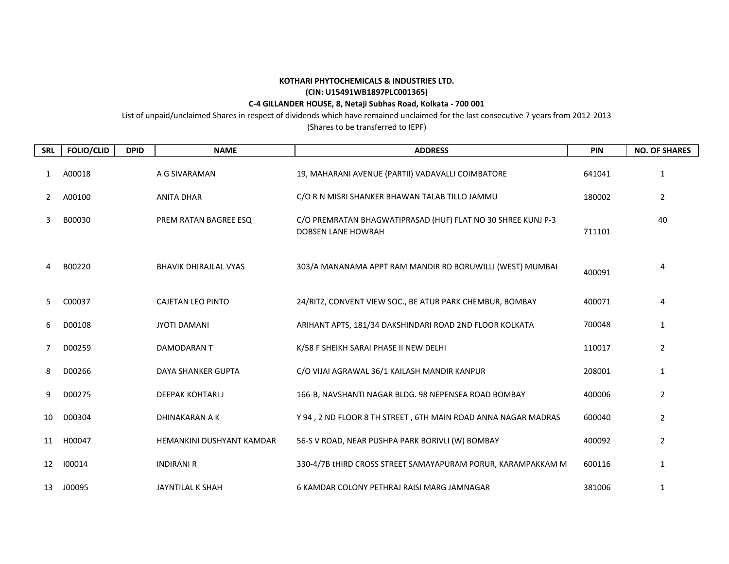## **KOTHARI PHYTOCHEMICALS & INDUSTRIES LTD.**

## **(CIN: U15491WB1897PLC001365)**

## **C-4 GILLANDER HOUSE, 8, Netaji Subhas Road, Kolkata - 700 001**

List of unpaid/unclaimed Shares in respect of dividends which have remained unclaimed for the last consecutive 7 years from 2012-2013

(Shares to be transferred to IEPF)

| <b>SRL</b> | <b>FOLIO/CLID</b> | <b>DPID</b> | <b>NAME</b>                  | <b>ADDRESS</b>                                                                            | <b>PIN</b> | <b>NO. OF SHARES</b> |
|------------|-------------------|-------------|------------------------------|-------------------------------------------------------------------------------------------|------------|----------------------|
| 1          | A00018            |             | A G SIVARAMAN                | 19, MAHARANI AVENUE (PARTII) VADAVALLI COIMBATORE                                         | 641041     | 1                    |
| 2          | A00100            |             | <b>ANITA DHAR</b>            | C/O R N MISRI SHANKER BHAWAN TALAB TILLO JAMMU                                            | 180002     | $\overline{2}$       |
| 3          | B00030            |             | PREM RATAN BAGREE ESQ        | C/O PREMRATAN BHAGWATIPRASAD (HUF) FLAT NO 30 SHREE KUNJ P-3<br><b>DOBSEN LANE HOWRAH</b> | 711101     | 40                   |
| 4          | B00220            |             | <b>BHAVIK DHIRAJLAL VYAS</b> | 303/A MANANAMA APPT RAM MANDIR RD BORUWILLI (WEST) MUMBAI                                 | 400091     | 4                    |
| 5          | C00037            |             | <b>CAJETAN LEO PINTO</b>     | 24/RITZ, CONVENT VIEW SOC., BE ATUR PARK CHEMBUR, BOMBAY                                  | 400071     | 4                    |
| 6          | D00108            |             | <b>JYOTI DAMANI</b>          | ARIHANT APTS, 181/34 DAKSHINDARI ROAD 2ND FLOOR KOLKATA                                   | 700048     | 1                    |
| 7          | D00259            |             | DAMODARAN T                  | K/58 F SHEIKH SARAI PHASE II NEW DELHI                                                    | 110017     | 2                    |
| 8          | D00266            |             | <b>DAYA SHANKER GUPTA</b>    | C/O VIJAI AGRAWAL 36/1 KAILASH MANDIR KANPUR                                              | 208001     | $\mathbf{1}$         |
| 9          | D00275            |             | DEEPAK KOHTARI J             | 166-B, NAVSHANTI NAGAR BLDG. 98 NEPENSEA ROAD BOMBAY                                      | 400006     | 2                    |
| 10         | D00304            |             | DHINAKARAN A K               | Y 94, 2 ND FLOOR 8 TH STREET, 6TH MAIN ROAD ANNA NAGAR MADRAS                             | 600040     | $\overline{2}$       |
| 11         | H00047            |             | HEMANKINI DUSHYANT KAMDAR    | 56-S V ROAD, NEAR PUSHPA PARK BORIVLI (W) BOMBAY                                          | 400092     | 2                    |
| 12         | 100014            |             | <b>INDIRANI R</b>            | 330-4/7B tHIRD CROSS STREET SAMAYAPURAM PORUR, KARAMPAKKAM M                              | 600116     | 1                    |
| 13         | J00095            |             | JAYNTILAL K SHAH             | 6 KAMDAR COLONY PETHRAJ RAISI MARG JAMNAGAR                                               | 381006     | 1                    |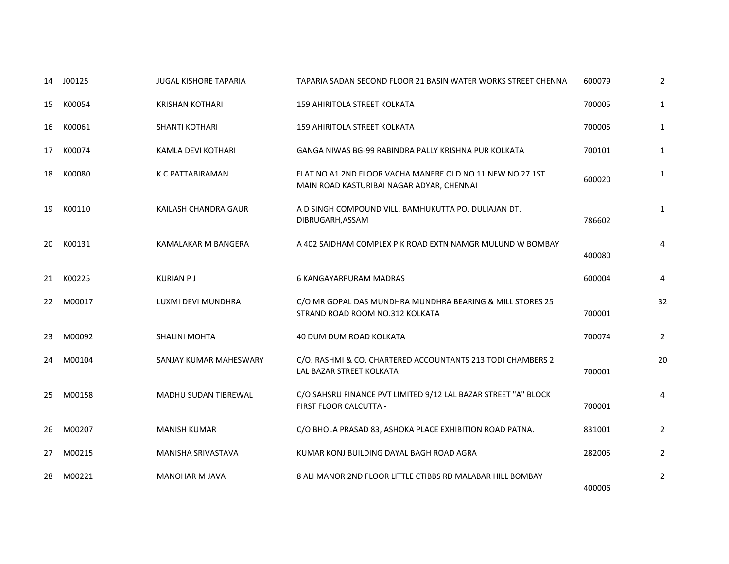| 14 | J00125 | <b>JUGAL KISHORE TAPARIA</b> | TAPARIA SADAN SECOND FLOOR 21 BASIN WATER WORKS STREET CHENNA                                          | 600079 | 2              |
|----|--------|------------------------------|--------------------------------------------------------------------------------------------------------|--------|----------------|
| 15 | K00054 | <b>KRISHAN KOTHARI</b>       | 159 AHIRITOLA STREET KOLKATA                                                                           | 700005 | $\mathbf{1}$   |
| 16 | K00061 | <b>SHANTI KOTHARI</b>        | 159 AHIRITOLA STREET KOLKATA                                                                           | 700005 | $\mathbf{1}$   |
| 17 | K00074 | KAMLA DEVI KOTHARI           | GANGA NIWAS BG-99 RABINDRA PALLY KRISHNA PUR KOLKATA                                                   | 700101 | $\mathbf{1}$   |
| 18 | K00080 | K C PATTABIRAMAN             | FLAT NO A1 2ND FLOOR VACHA MANERE OLD NO 11 NEW NO 27 1ST<br>MAIN ROAD KASTURIBAI NAGAR ADYAR, CHENNAI | 600020 | $\mathbf{1}$   |
| 19 | K00110 | KAILASH CHANDRA GAUR         | A D SINGH COMPOUND VILL. BAMHUKUTTA PO. DULIAJAN DT.<br>DIBRUGARH, ASSAM                               | 786602 | 1              |
| 20 | K00131 | KAMALAKAR M BANGERA          | A 402 SAIDHAM COMPLEX P K ROAD EXTN NAMGR MULUND W BOMBAY                                              | 400080 | 4              |
| 21 | K00225 | <b>KURIAN PJ</b>             | <b>6 KANGAYARPURAM MADRAS</b>                                                                          | 600004 | 4              |
| 22 | M00017 | LUXMI DEVI MUNDHRA           | C/O MR GOPAL DAS MUNDHRA MUNDHRA BEARING & MILL STORES 25<br>STRAND ROAD ROOM NO.312 KOLKATA           | 700001 | 32             |
| 23 | M00092 | <b>SHALINI MOHTA</b>         | 40 DUM DUM ROAD KOLKATA                                                                                | 700074 | $\overline{2}$ |
| 24 | M00104 | SANJAY KUMAR MAHESWARY       | C/O. RASHMI & CO. CHARTERED ACCOUNTANTS 213 TODI CHAMBERS 2<br>LAL BAZAR STREET KOLKATA                | 700001 | 20             |
| 25 | M00158 | MADHU SUDAN TIBREWAL         | C/O SAHSRU FINANCE PVT LIMITED 9/12 LAL BAZAR STREET "A" BLOCK<br>FIRST FLOOR CALCUTTA -               | 700001 | 4              |
| 26 | M00207 | <b>MANISH KUMAR</b>          | C/O BHOLA PRASAD 83, ASHOKA PLACE EXHIBITION ROAD PATNA.                                               | 831001 | $\overline{2}$ |
| 27 | M00215 | <b>MANISHA SRIVASTAVA</b>    | KUMAR KONJ BUILDING DAYAL BAGH ROAD AGRA                                                               | 282005 | $\overline{2}$ |
| 28 | M00221 | <b>MANOHAR M JAVA</b>        | 8 ALI MANOR 2ND FLOOR LITTLE CTIBBS RD MALABAR HILL BOMBAY                                             | 400006 | $\overline{2}$ |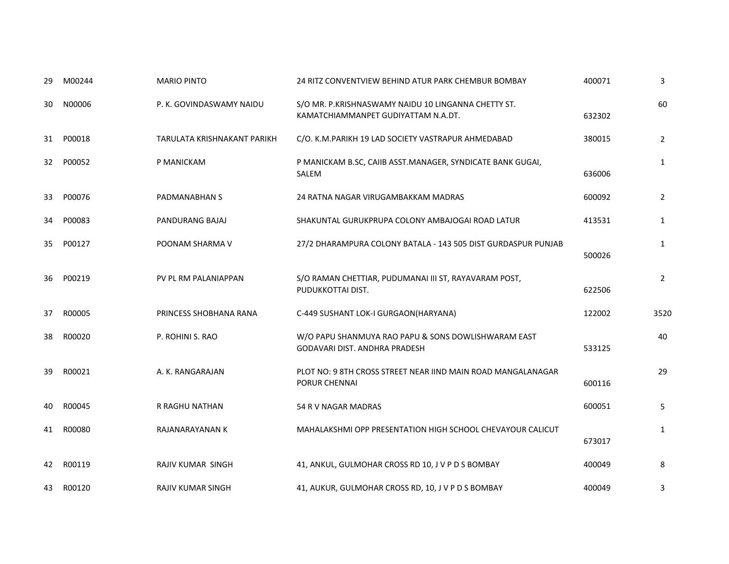| 29 | M00244 | <b>MARIO PINTO</b>          | 24 RITZ CONVENTVIEW BEHIND ATUR PARK CHEMBUR BOMBAY                                        | 400071 | 3              |
|----|--------|-----------------------------|--------------------------------------------------------------------------------------------|--------|----------------|
| 30 | N00006 | P. K. GOVINDASWAMY NAIDU    | S/O MR. P.KRISHNASWAMY NAIDU 10 LINGANNA CHETTY ST.<br>KAMATCHIAMMANPET GUDIYATTAM N.A.DT. | 632302 | 60             |
| 31 | P00018 | TARULATA KRISHNAKANT PARIKH | C/O. K.M.PARIKH 19 LAD SOCIETY VASTRAPUR AHMEDABAD                                         | 380015 | 2              |
| 32 | P00052 | P MANICKAM                  | P MANICKAM B.SC, CAIIB ASST.MANAGER, SYNDICATE BANK GUGAI,<br>SALEM                        | 636006 | $\mathbf{1}$   |
| 33 | P00076 | PADMANABHAN S               | 24 RATNA NAGAR VIRUGAMBAKKAM MADRAS                                                        | 600092 | $\overline{2}$ |
| 34 | P00083 | PANDURANG BAJAJ             | SHAKUNTAL GURUKPRUPA COLONY AMBAJOGAI ROAD LATUR                                           | 413531 | $\mathbf{1}$   |
| 35 | P00127 | POONAM SHARMA V             | 27/2 DHARAMPURA COLONY BATALA - 143 505 DIST GURDASPUR PUNJAB                              | 500026 | $\mathbf{1}$   |
| 36 | P00219 | PV PL RM PALANIAPPAN        | S/O RAMAN CHETTIAR, PUDUMANAI III ST, RAYAVARAM POST,<br>PUDUKKOTTAI DIST.                 | 622506 | $\overline{2}$ |
| 37 | R00005 | PRINCESS SHOBHANA RANA      | C-449 SUSHANT LOK-I GURGAON(HARYANA)                                                       | 122002 | 3520           |
| 38 | R00020 | P. ROHINI S. RAO            | W/O PAPU SHANMUYA RAO PAPU & SONS DOWLISHWARAM EAST<br>GODAVARI DIST. ANDHRA PRADESH       | 533125 | 40             |
| 39 | R00021 | A. K. RANGARAJAN            | PLOT NO: 9 8TH CROSS STREET NEAR IIND MAIN ROAD MANGALANAGAR<br>PORUR CHENNAI              | 600116 | 29             |
| 40 | R00045 | R RAGHU NATHAN              | 54 R V NAGAR MADRAS                                                                        | 600051 | 5              |
| 41 | R00080 | RAJANARAYANAN K             | MAHALAKSHMI OPP PRESENTATION HIGH SCHOOL CHEVAYOUR CALICUT                                 | 673017 | $\mathbf{1}$   |
| 42 | R00119 | <b>RAJIV KUMAR SINGH</b>    | 41, ANKUL, GULMOHAR CROSS RD 10, J V P D S BOMBAY                                          | 400049 | 8              |
| 43 | R00120 | RAJIV KUMAR SINGH           | 41, AUKUR, GULMOHAR CROSS RD, 10, J V P D S BOMBAY                                         | 400049 | 3              |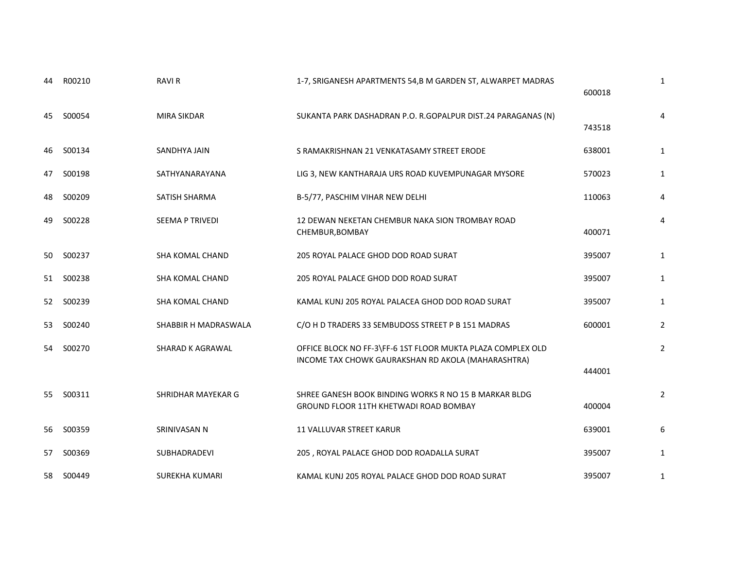| 44  | R00210    | <b>RAVI R</b>          | 1-7, SRIGANESH APARTMENTS 54,B M GARDEN ST, ALWARPET MADRAS                                                       | 600018 | 1              |
|-----|-----------|------------------------|-------------------------------------------------------------------------------------------------------------------|--------|----------------|
| 45  | S00054    | <b>MIRA SIKDAR</b>     | SUKANTA PARK DASHADRAN P.O. R.GOPALPUR DIST.24 PARAGANAS (N)                                                      | 743518 | 4              |
| 46. | S00134    | SANDHYA JAIN           | S RAMAKRISHNAN 21 VENKATASAMY STREET ERODE                                                                        | 638001 | 1              |
| 47  | S00198    | SATHYANARAYANA         | LIG 3, NEW KANTHARAJA URS ROAD KUVEMPUNAGAR MYSORE                                                                | 570023 | 1              |
| 48  | S00209    | SATISH SHARMA          | B-5/77, PASCHIM VIHAR NEW DELHI                                                                                   | 110063 | 4              |
| 49  | S00228    | SEEMA P TRIVEDI        | 12 DEWAN NEKETAN CHEMBUR NAKA SION TROMBAY ROAD<br>CHEMBUR, BOMBAY                                                | 400071 | 4              |
|     | 50 S00237 | <b>SHA KOMAL CHAND</b> | 205 ROYAL PALACE GHOD DOD ROAD SURAT                                                                              | 395007 | 1              |
| 51  | S00238    | <b>SHA KOMAL CHAND</b> | 205 ROYAL PALACE GHOD DOD ROAD SURAT                                                                              | 395007 | 1              |
| 52  | S00239    | <b>SHA KOMAL CHAND</b> | KAMAL KUNJ 205 ROYAL PALACEA GHOD DOD ROAD SURAT                                                                  | 395007 | 1              |
| 53  | S00240    | SHABBIR H MADRASWALA   | C/O H D TRADERS 33 SEMBUDOSS STREET P B 151 MADRAS                                                                | 600001 | 2              |
| 54  | S00270    | SHARAD K AGRAWAL       | OFFICE BLOCK NO FF-3\FF-6 1ST FLOOR MUKTA PLAZA COMPLEX OLD<br>INCOME TAX CHOWK GAURAKSHAN RD AKOLA (MAHARASHTRA) | 444001 | $\overline{2}$ |
| 55  | S00311    | SHRIDHAR MAYEKAR G     | SHREE GANESH BOOK BINDING WORKS R NO 15 B MARKAR BLDG<br><b>GROUND FLOOR 11TH KHETWADI ROAD BOMBAY</b>            | 400004 | $\overline{2}$ |
| 56  | S00359    | SRINIVASAN N           | 11 VALLUVAR STREET KARUR                                                                                          | 639001 | 6              |
| 57  | S00369    | SUBHADRADEVI           | 205, ROYAL PALACE GHOD DOD ROADALLA SURAT                                                                         | 395007 | 1              |
| 58  | S00449    | <b>SUREKHA KUMARI</b>  | KAMAL KUNJ 205 ROYAL PALACE GHOD DOD ROAD SURAT                                                                   | 395007 | 1              |